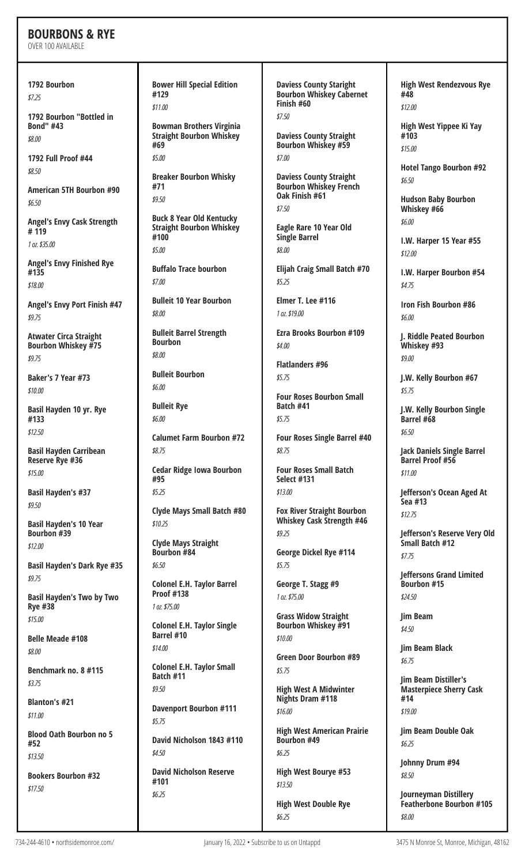## **BOURBONS & RYE**

OVER 100 AVAILABLE

**1792 Bourbon** *\$7.25*

**1792 Bourbon "Bottled in Bond" #43** *\$8.00*

**1792 Full Proof #44** *\$8.50*

**American 5TH Bourbon #90** *\$6.50*

**Angel's Envy Cask Strength # 119** *1 oz.\$35.00*

**Angel's Envy Finished Rye #135** *\$18.00*

**Angel's Envy Port Finish #47** *\$9.75*

**Atwater Circa Straight Bourbon Whiskey #75** *\$9.75*

**Baker's 7 Year #73** *\$10.00*

**Basil Hayden 10 yr. Rye #133** *\$12.50*

**Basil Hayden Carribean Reserve Rye #36** *\$15.00*

**Basil Hayden's #37** *\$9.50*

**Basil Hayden's 10 Year Bourbon #39** *\$12.00*

**Basil Hayden's Dark Rye #35** *\$9.75*

**Basil Hayden's Two by Two Rye #38** *\$15.00*

**Belle Meade #108** *\$8.00*

**Benchmark no. 8 #115** *\$3.75*

**Blanton's #21** *\$11.00*

**Blood Oath Bourbon no 5 #52** *\$13.50*

**Bookers Bourbon #32** *\$17.50*

**Bower Hill Special Edition #129** *\$11.00* **Bowman Brothers Virginia Straight Bourbon Whiskey #69** *\$5.00* **Breaker Bourbon Whisky #71** *\$9.50* **Buck 8 Year Old Kentucky Straight Bourbon Whiskey #100** *\$5.00* **Buffalo Trace bourbon** *\$7.00* **Bulleit 10 Year Bourbon** *\$8.00* **Bulleit Barrel Strength Bourbon** *\$8.00* **Bulleit Bourbon** *\$6.00* **Bulleit Rye** *\$6.00* **Calumet Farm Bourbon #72** *\$8.75* **Cedar Ridge Iowa Bourbon #95** *\$5.25* **Clyde Mays Small Batch #80** *\$10.25* **Clyde Mays Straight Bourbon #84** *\$6.50* **Colonel E.H. Taylor Barrel Proof #138** *1 oz.\$75.00*

**Colonel E.H. Taylor Single Barrel #10** *\$14.00*

**Colonel E.H. Taylor Small Batch #11** *\$9.50*

**Davenport Bourbon #111** *\$5.75*

**David Nicholson 1843 #110** *\$4.50*

**David Nicholson Reserve #101** *\$6.25*

**Daviess County Staright Bourbon Whiskey Cabernet Finish #60** *\$7.50*

**Daviess County Straight Bourbon Whiskey #59** *\$7.00*

**Daviess County Straight Bourbon Whiskey French Oak Finish #61** *\$7.50*

**Eagle Rare 10 Year Old Single Barrel** *\$8.00*

**Elijah Craig Small Batch #70** *\$5.25*

**Elmer T. Lee #116** *1 oz.\$19.00*

**Ezra Brooks Bourbon #109** *\$4.00*

**Flatlanders #96** *\$5.75*

**Four Roses Bourbon Small Batch #41** *\$5.75*

**Four Roses Single Barrel #40** *\$8.75*

**Four Roses Small Batch Select #131** *\$13.00*

**Fox River Straight Bourbon Whiskey Cask Strength #46** *\$9.25*

**George Dickel Rye #114** *\$5.75*

**George T. Stagg #9** *1 oz.\$75.00*

**Grass Widow Straight Bourbon Whiskey #91** *\$10.00*

**Green Door Bourbon #89** *\$5.75*

**High West A Midwinter Nights Dram #118** *\$16.00*

**High West American Prairie Bourbon #49** *\$6.25*

**High West Bourye #53** *\$13.50*

**High West Double Rye** *\$6.25*

**High West Rendezvous Rye #48** *\$12.00*

**High West Yippee Ki Yay #103** *\$15.00*

**Hotel Tango Bourbon #92** *\$6.50*

**Hudson Baby Bourbon Whiskey #66** *\$6.00*

**I.W. Harper 15 Year #55** *\$12.00*

**I.W. Harper Bourbon #54** *\$4.75*

**Iron Fish Bourbon #86** *\$6.00*

**J. Riddle Peated Bourbon Whiskey #93** *\$9.00*

**J.W. Kelly Bourbon #67** *\$5.75*

**J.W. Kelly Bourbon Single Barrel #68** *\$6.50*

**Jack Daniels Single Barrel Barrel Proof #56** *\$11.00*

**Jefferson's Ocean Aged At Sea #13** *\$12.75*

**Jefferson's Reserve Very Old Small Batch #12** *\$7.75*

**Jeffersons Grand Limited Bourbon #15** *\$24.50*

**Jim Beam** *\$4.50*

**Jim Beam Black** *\$6.75*

**Jim Beam Distiller's Masterpiece Sherry Cask #14** *\$19.00*

**Jim Beam Double Oak** *\$6.25*

**Johnny Drum #94** *\$8.50*

**Journeyman Distillery Featherbone Bourbon #105** *\$8.00*